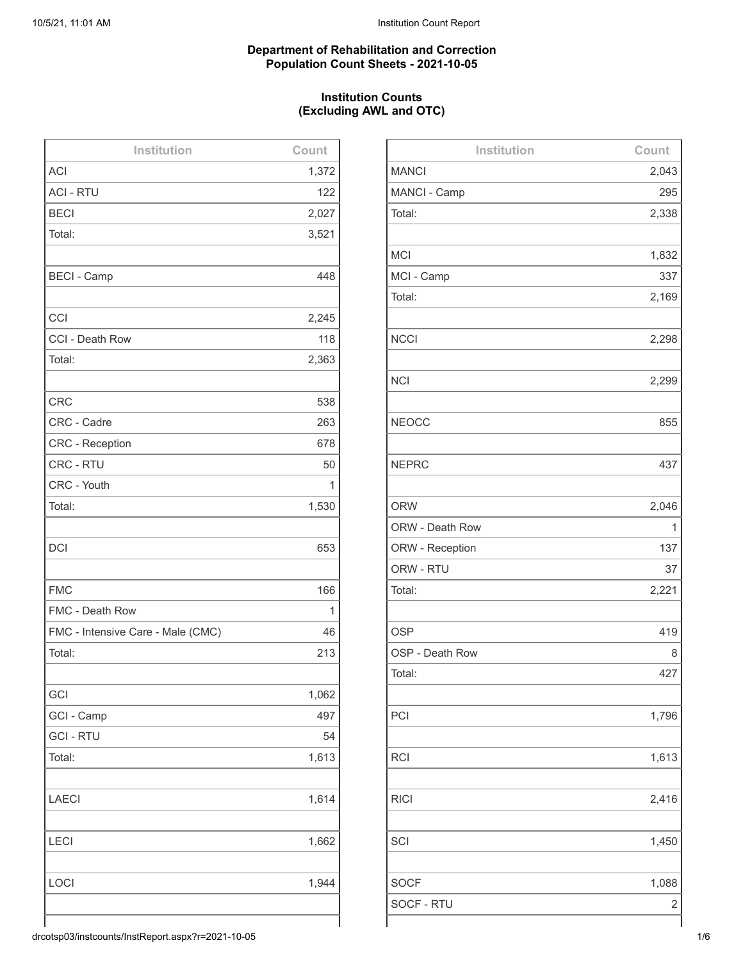## **Department of Rehabilitation and Correction Population Count Sheets - 2021-10-05**

## **Institution Counts (Excluding AWL and OTC)**

| Institution                       | Count |
|-----------------------------------|-------|
| <b>ACI</b>                        | 1,372 |
| <b>ACI - RTU</b>                  | 122   |
| <b>BECI</b>                       | 2,027 |
| Total:                            | 3,521 |
|                                   |       |
| <b>BECI - Camp</b>                | 448   |
|                                   |       |
| CCI                               | 2,245 |
| CCI - Death Row                   | 118   |
| Total:                            | 2,363 |
| <b>CRC</b>                        | 538   |
| CRC - Cadre                       | 263   |
| <b>CRC</b> - Reception            | 678   |
| CRC - RTU                         | 50    |
| CRC - Youth                       | 1     |
| Total:                            | 1,530 |
|                                   |       |
| <b>DCI</b>                        | 653   |
|                                   |       |
| <b>FMC</b>                        | 166   |
| FMC - Death Row                   | 1     |
| FMC - Intensive Care - Male (CMC) | 46    |
| Total:                            | 213   |
|                                   |       |
| GCI                               | 1,062 |
| GCI - Camp                        | 497   |
| <b>GCI - RTU</b>                  | 54    |
| Total:                            | 1,613 |
|                                   |       |
| <b>LAECI</b>                      | 1,614 |
|                                   |       |
| <b>LECI</b>                       | 1,662 |
|                                   |       |
| LOCI                              | 1,944 |
|                                   |       |
|                                   |       |

| Institution     | Count |
|-----------------|-------|
| <b>MANCI</b>    | 2,043 |
| MANCI - Camp    | 295   |
| Total:          | 2,338 |
|                 |       |
| <b>MCI</b>      | 1,832 |
| MCI - Camp      | 337   |
| Total:          | 2,169 |
|                 |       |
| <b>NCCI</b>     | 2,298 |
|                 |       |
| <b>NCI</b>      | 2,299 |
|                 |       |
| <b>NEOCC</b>    | 855   |
|                 |       |
| <b>NEPRC</b>    | 437   |
|                 |       |
| <b>ORW</b>      | 2,046 |
| ORW - Death Row | 1     |
| ORW - Reception | 137   |
| ORW - RTU       | 37    |
| Total:          | 2,221 |
|                 |       |
| <b>OSP</b>      | 419   |
| OSP - Death Row | 8     |
| Total:          | 427   |
|                 |       |
| PCI             | 1,796 |
|                 |       |
| <b>RCI</b>      | 1,613 |
|                 |       |
| <b>RICI</b>     | 2,416 |
|                 |       |
| SCI             | 1,450 |
|                 |       |
| <b>SOCF</b>     | 1,088 |
| SOCF - RTU      | 2     |
|                 |       |

drcotsp03/instcounts/InstReport.aspx?r=2021-10-05 1/6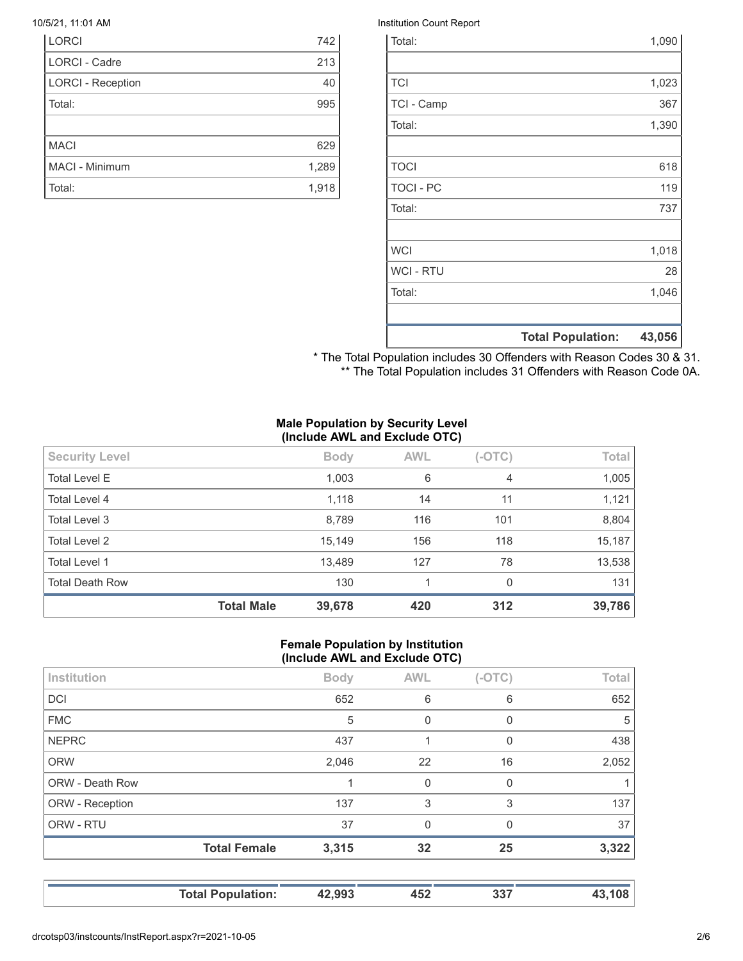| <b>LORCI</b>             | 742   |
|--------------------------|-------|
| <b>LORCI - Cadre</b>     | 213   |
| <b>LORCI - Reception</b> | 40    |
| Total:                   | 995   |
|                          |       |
| <b>MACI</b>              | 629   |
| <b>MACI - Minimum</b>    | 1,289 |
| Total:                   | 1,918 |

#### 10/5/21, 11:01 AM Institution Count Report

|                  | <b>Total Population:</b> | 43,056 |
|------------------|--------------------------|--------|
|                  |                          |        |
| Total:           |                          | 1,046  |
| <b>WCI - RTU</b> |                          | 28     |
| <b>WCI</b>       |                          | 1,018  |
|                  |                          |        |
| Total:           |                          | 737    |
| <b>TOCI - PC</b> |                          | 119    |
| <b>TOCI</b>      |                          | 618    |
|                  |                          |        |
| Total:           |                          | 1,390  |
| TCI - Camp       |                          | 367    |
| <b>TCI</b>       |                          | 1,023  |
|                  |                          |        |
| Total:           |                          | 1,090  |

\* The Total Population includes 30 Offenders with Reason Codes 30 & 31. \*\* The Total Population includes 31 Offenders with Reason Code 0A.

#### **Male Population by Security Level (Include AWL and Exclude OTC)**

| 15,149<br>Total Level 2<br>156<br>13,489<br>127<br><b>Total Level 1</b><br><b>Total Death Row</b><br>130<br>1 | 78<br>$\Omega$ | 13,538<br>131 |
|---------------------------------------------------------------------------------------------------------------|----------------|---------------|
|                                                                                                               |                |               |
|                                                                                                               |                |               |
|                                                                                                               | 118            | 15,187        |
| Total Level 3<br>8,789<br>116                                                                                 | 101            | 8,804         |
| 1,118<br>Total Level 4<br>14                                                                                  | 11             | 1,121         |
| 6<br><b>Total Level E</b><br>1,003                                                                            | $\overline{4}$ | 1,005         |
| <b>AWL</b><br><b>Security Level</b><br><b>Body</b>                                                            | $(-OTC)$       | Total         |

#### **Female Population by Institution (Include AWL and Exclude OTC)**

|                        | <b>Total Population:</b> | 42,993      | 452         | 337      | 43,108 |
|------------------------|--------------------------|-------------|-------------|----------|--------|
|                        | <b>Total Female</b>      | 3,315       | 32          | 25       | 3,322  |
| ORW - RTU              |                          | 37          | $\Omega$    | $\Omega$ | 37     |
| ORW - Reception        |                          | 137         | 3           | 3        | 137    |
| <b>ORW - Death Row</b> |                          |             | 0           | 0        |        |
| <b>ORW</b>             |                          | 2,046       | 22          | 16       | 2,052  |
| <b>NEPRC</b>           |                          | 437         |             | 0        | 438    |
| <b>FMC</b>             |                          | 5           | $\mathbf 0$ | 0        | 5      |
| <b>DCI</b>             |                          | 652         | 6           | 6        | 652    |
| Institution            |                          | <b>Body</b> | <b>AWL</b>  | $(-OTC)$ | Total  |
|                        |                          |             |             |          |        |

drcotsp03/instcounts/InstReport.aspx?r=2021-10-05 2/6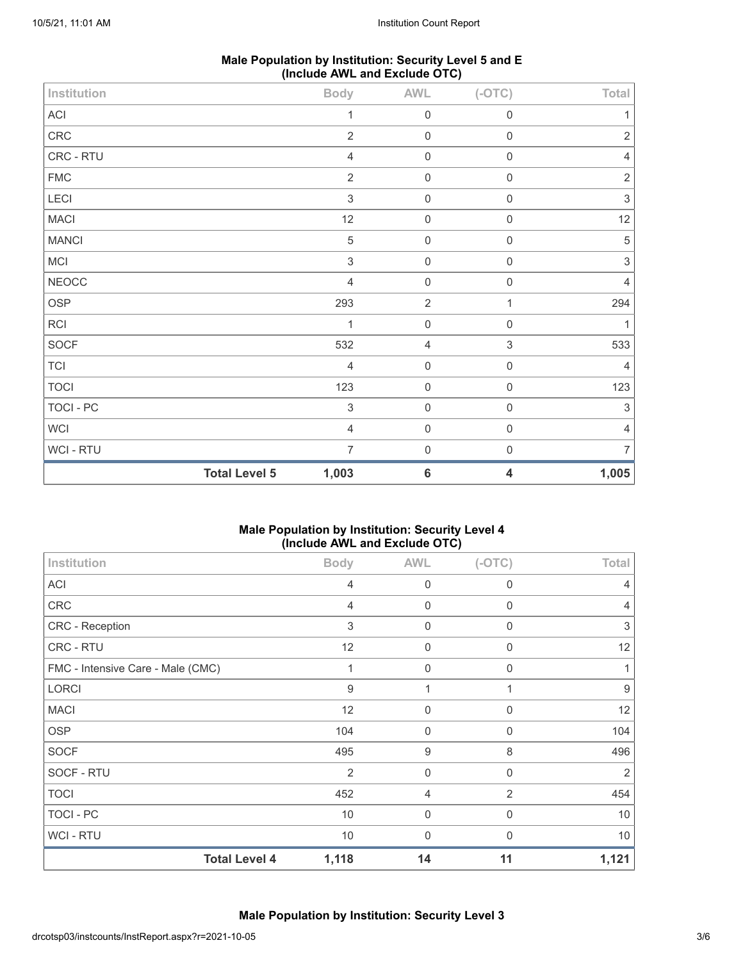| Male Population by Institution: Security Level 5 and E |  |
|--------------------------------------------------------|--|
| (Include AWL and Exclude OTC)                          |  |

| <b>MACI</b>                |                      | 12                                          | $\mathbf 0$                | $\mathbf 0$                | 12          |
|----------------------------|----------------------|---------------------------------------------|----------------------------|----------------------------|-------------|
| <b>MANCI</b>               |                      | $\,$ 5 $\,$                                 | $\mathbf 0$                | $\mathbf 0$                | $\,$ 5 $\,$ |
| <b>MCI</b><br><b>NEOCC</b> |                      | $\ensuremath{\mathsf{3}}$<br>$\overline{4}$ | $\mathbf 0$<br>$\mathbf 0$ | $\mathsf 0$<br>$\mathbf 0$ | 3<br>4      |
| OSP                        |                      | 293                                         | $\sqrt{2}$                 | 1                          | 294         |
| RCI                        |                      | 1                                           | $\mathbf 0$                | $\mathbf 0$                |             |
| SOCF                       |                      | 532                                         | $\overline{4}$             | $\ensuremath{\mathsf{3}}$  | 533         |
| TCI                        |                      | $\overline{4}$                              | $\mathbf 0$                | $\mathbf 0$                | 4           |
| <b>TOCI</b>                |                      | 123                                         | $\mathbf 0$                | $\mathbf 0$                | 123         |
| TOCI - PC                  |                      | $\,$ 3 $\,$                                 | $\mathbf 0$                | $\mathbf 0$                | $\sqrt{3}$  |
| WCI                        |                      | $\overline{4}$                              | $\mathbf 0$                | $\mathbf 0$                | 4           |
| WCI - RTU                  |                      | $\overline{7}$                              | $\mathsf{O}\xspace$        | $\mathbf 0$                | 7           |
|                            | <b>Total Level 5</b> | 1,003                                       | $\bf 6$                    | $\overline{\mathbf{4}}$    | 1,005       |

## **Male Population by Institution: Security Level 4 (Include AWL and Exclude OTC)**

| Institution                       | <b>Body</b>    | <b>AWL</b>       | $(-OTC)$         | Total |
|-----------------------------------|----------------|------------------|------------------|-------|
| <b>ACI</b>                        | 4              | $\mathbf 0$      | $\mathbf 0$      | 4     |
| CRC                               | 4              | $\mathbf 0$      | $\mathbf 0$      | 4     |
| CRC - Reception                   | 3              | $\mathbf 0$      | $\Omega$         | 3     |
| CRC - RTU                         | 12             | $\mathbf 0$      | $\Omega$         | 12    |
| FMC - Intensive Care - Male (CMC) |                | $\mathbf 0$      | $\mathbf 0$      | 1     |
| LORCI                             | 9              | 1                | 1                | 9     |
| <b>MACI</b>                       | 12             | $\boldsymbol{0}$ | $\mathbf 0$      | 12    |
| <b>OSP</b>                        | 104            | $\mathbf 0$      | $\mathbf 0$      | 104   |
| <b>SOCF</b>                       | 495            | 9                | 8                | 496   |
| SOCF - RTU                        | $\overline{2}$ | $\mathbf 0$      | $\mathbf 0$      | 2     |
| <b>TOCI</b>                       | 452            | $\overline{4}$   | 2                | 454   |
| TOCI - PC                         | 10             | $\mathbf 0$      | $\boldsymbol{0}$ | 10    |
| WCI - RTU                         | 10             | $\mathbf 0$      | $\Omega$         | 10    |
| <b>Total Level 4</b>              | 1,118          | 14               | 11               | 1,121 |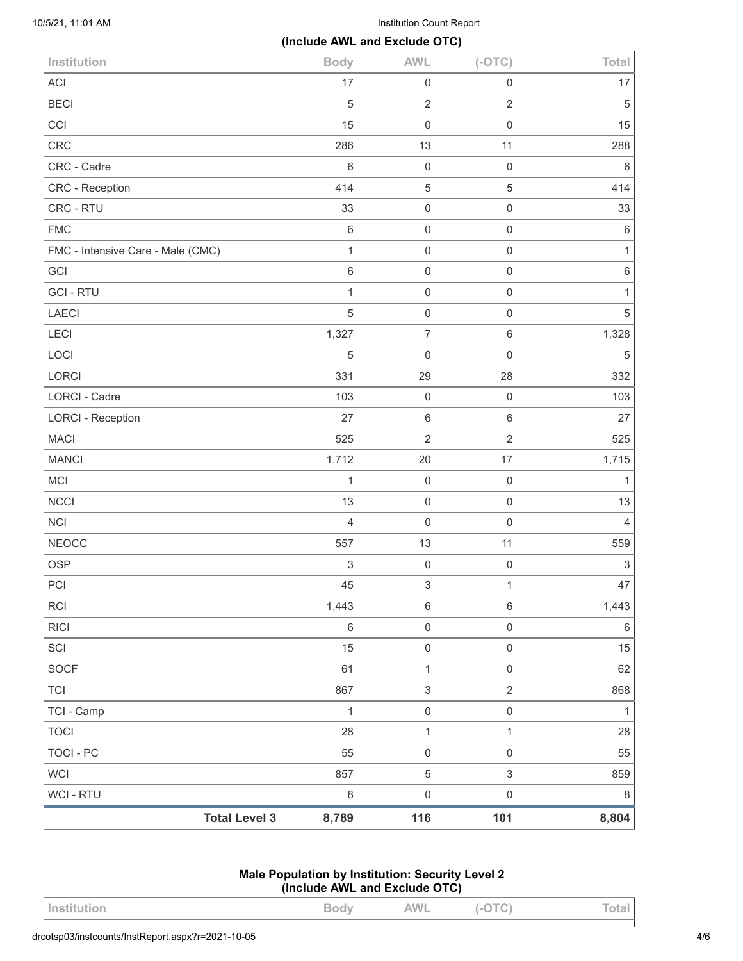10/5/21, 11:01 AM Institution Count Report

|                                   | (Include AWL and Exclude OTC) |                           |                           |                           |
|-----------------------------------|-------------------------------|---------------------------|---------------------------|---------------------------|
| Institution                       | <b>Body</b>                   | <b>AWL</b>                | $(-OTC)$                  | Total                     |
| <b>ACI</b>                        | 17                            | $\mathsf 0$               | $\mathbf 0$               | 17                        |
| <b>BECI</b>                       | $\sqrt{5}$                    | $\sqrt{2}$                | $\overline{2}$            | $\sqrt{5}$                |
| CCI                               | 15                            | $\mathbf 0$               | $\mathbf 0$               | 15                        |
| CRC                               | 286                           | 13                        | 11                        | 288                       |
| CRC - Cadre                       | $\,6\,$                       | $\mathbf 0$               | $\mathbf 0$               | $\,6\,$                   |
| CRC - Reception                   | 414                           | $\mathbf 5$               | $\mathbf 5$               | 414                       |
| CRC - RTU                         | 33                            | $\mathbf 0$               | $\mathbf 0$               | 33                        |
| <b>FMC</b>                        | $\,6\,$                       | $\mathbf 0$               | $\mathbf 0$               | $\,6\,$                   |
| FMC - Intensive Care - Male (CMC) | $\mathbf{1}$                  | $\mathbf 0$               | $\mathbf 0$               | $\mathbf{1}$              |
| GCI                               | $\,6\,$                       | $\mathbf 0$               | $\mathbf 0$               | $\,6\,$                   |
| <b>GCI-RTU</b>                    | $\mathbf{1}$                  | $\mathbf 0$               | $\mathbf 0$               | $\mathbf{1}$              |
| LAECI                             | $\sqrt{5}$                    | $\mathbf 0$               | $\mathbf 0$               | $\mathbf 5$               |
| LECI                              | 1,327                         | $\overline{7}$            | $\,6\,$                   | 1,328                     |
| LOCI                              | $\sqrt{5}$                    | $\mathbf 0$               | $\mathbf 0$               | $\mathbf 5$               |
| <b>LORCI</b>                      | 331                           | 29                        | 28                        | 332                       |
| <b>LORCI - Cadre</b>              | 103                           | $\mathbf 0$               | $\mathbf 0$               | 103                       |
| <b>LORCI - Reception</b>          | 27                            | $\,6\,$                   | $\,6\,$                   | 27                        |
| <b>MACI</b>                       | 525                           | $\overline{2}$            | $\overline{2}$            | 525                       |
| <b>MANCI</b>                      | 1,712                         | 20                        | 17                        | 1,715                     |
| MCI                               | $\mathbf{1}$                  | $\mathbf 0$               | $\mathbf 0$               | $\mathbf{1}$              |
| <b>NCCI</b>                       | 13                            | $\mathbf 0$               | $\mathbf 0$               | 13                        |
| <b>NCI</b>                        | $\overline{4}$                | $\mathbf 0$               | $\mathbf 0$               | $\overline{4}$            |
| <b>NEOCC</b>                      | 557                           | 13                        | 11                        | 559                       |
| <b>OSP</b>                        | $\ensuremath{\mathsf{3}}$     | $\mathbf 0$               | $\mathbf 0$               | $\ensuremath{\mathsf{3}}$ |
| PCI                               | 45                            | $\ensuremath{\mathsf{3}}$ | 1                         | 47                        |
| <b>RCI</b>                        | 1,443                         | $\,6\,$                   | $\,6\,$                   | 1,443                     |
| <b>RICI</b>                       | $\,6\,$                       | $\mathsf{O}\xspace$       | $\mathsf{O}\xspace$       | $\,6\,$                   |
| SCI                               | 15                            | $\mathbf 0$               | $\mathbf 0$               | 15                        |
| <b>SOCF</b>                       | 61                            | $\mathbf{1}$              | $\mathsf{O}\xspace$       | 62                        |
| <b>TCI</b>                        | 867                           | $\ensuremath{\mathsf{3}}$ | $\overline{2}$            | 868                       |
| TCI - Camp                        | $\mathbf{1}$                  | $\mathbf 0$               | $\mathsf{O}\xspace$       | $\mathbf{1}$              |
| <b>TOCI</b>                       | 28                            | $\mathbf{1}$              | $\mathbf{1}$              | 28                        |
| <b>TOCI - PC</b>                  | 55                            | $\mathsf{O}\xspace$       | $\mathsf{O}\xspace$       | 55                        |
| <b>WCI</b>                        | 857                           | $\mathbf 5$               | $\ensuremath{\mathsf{3}}$ | 859                       |
| WCI - RTU                         | $\,8\,$                       | $\mathsf{O}\xspace$       | $\mathbf 0$               | $\,8\,$                   |
| <b>Total Level 3</b>              | 8,789                         | 116                       | 101                       | 8,804                     |

# **Male Population by Institution: Security Level 2 (Include AWL and Exclude OTC)**

| <b>INSTITUTION</b> | ◡ | AWL | $\checkmark$<br>$\tilde{\phantom{a}}$ | $L = 1$ |
|--------------------|---|-----|---------------------------------------|---------|
|                    |   |     |                                       |         |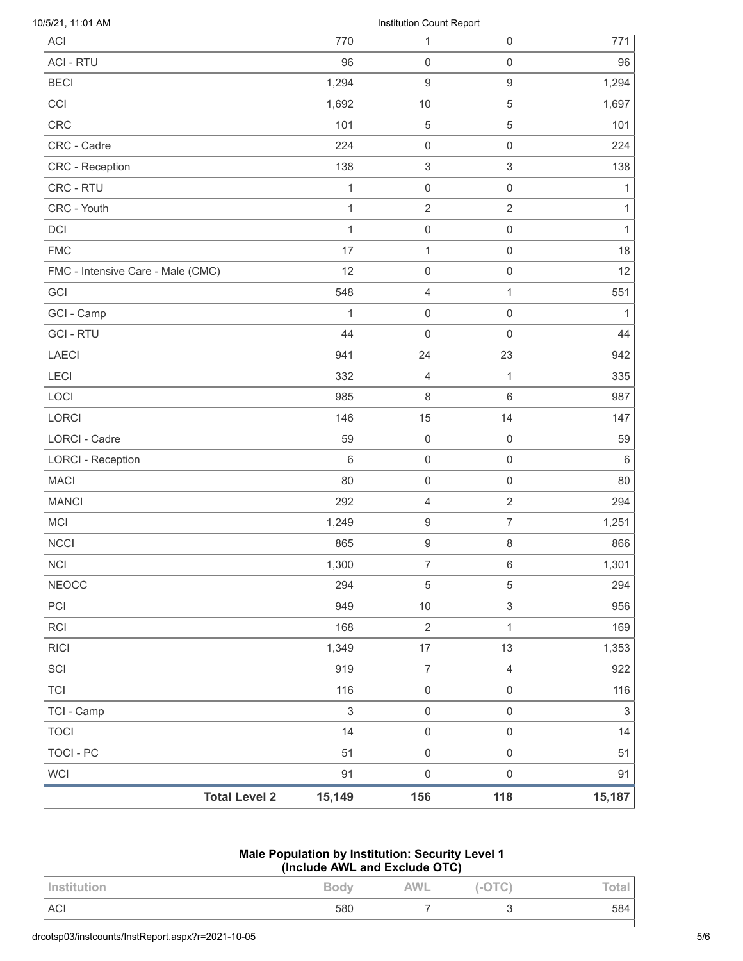|                                   | <b>Total Level 2</b> | 15,149                       | 156                               | 118                 | 15,187            |
|-----------------------------------|----------------------|------------------------------|-----------------------------------|---------------------|-------------------|
| <b>WCI</b>                        |                      | 91                           | $\mathsf 0$                       | $\mathsf 0$         | 91                |
| TOCI - PC                         |                      | 51                           | $\mathsf{O}\xspace$               | $\,0\,$             | 51                |
| <b>TOCI</b>                       |                      | 14                           | $\mathbf 0$                       | $\mathsf 0$         | 14                |
| TCI - Camp                        |                      | $\ensuremath{\mathsf{3}}$    | $\mathsf{O}\xspace$               | $\mathsf{O}\xspace$ | $\sqrt{3}$        |
| <b>TCI</b>                        |                      | 116                          | $\mathsf{O}\xspace$               | $\mathsf{O}\xspace$ | 116               |
| SCI                               |                      | 919                          | $\boldsymbol{7}$                  | $\overline{4}$      | 922               |
| <b>RICI</b>                       |                      | 1,349                        | 17                                | 13                  | 1,353             |
| RCI                               |                      | 168                          | $\sqrt{2}$                        | $\mathbf{1}$        | 169               |
| PCI                               |                      | 949                          | $10$                              | $\mathfrak{S}$      | 956               |
| <b>NEOCC</b>                      |                      | 294                          | $\sqrt{5}$                        | 5                   | 294               |
| <b>NCI</b>                        |                      | 1,300                        | $\overline{7}$                    | 6                   | 1,301             |
| <b>NCCI</b>                       |                      | 865                          | $\boldsymbol{9}$                  | 8                   | 866               |
| <b>MCI</b>                        |                      | 1,249                        | $\boldsymbol{9}$                  | $\overline{7}$      | 1,251             |
| <b>MANCI</b>                      |                      | 292                          | $\overline{4}$                    | $\overline{2}$      | 294               |
| <b>MACI</b>                       |                      | 80                           | $\mathsf{O}\xspace$               | $\mathsf{O}\xspace$ | 80                |
| <b>LORCI - Reception</b>          |                      | 6                            | $\mathsf 0$                       | 0                   | 6                 |
| <b>LORCI - Cadre</b>              |                      | 59                           | $\mathsf 0$                       | $\mathsf{O}\xspace$ | 59                |
| LORCI                             |                      | 146                          | 15                                | 14                  | 147               |
| LOCI                              |                      | 985                          | $\,8\,$                           | 6                   | 987               |
| LECI                              |                      | 332                          | $\overline{4}$                    | $\mathbf{1}$        | 335               |
| <b>LAECI</b>                      |                      | 941                          | 24                                | 23                  | 942               |
| <b>GCI - RTU</b>                  |                      | 44                           | $\mathsf{O}\xspace$               | $\boldsymbol{0}$    | 44                |
| GCI - Camp                        |                      | $\mathbf{1}$                 | $\mathsf{O}\xspace$               | 0                   | 1                 |
| GCI                               |                      | 548                          | $\overline{4}$                    | 1                   | 551               |
| FMC - Intensive Care - Male (CMC) |                      | 12                           | $\mathsf{O}\xspace$               | 0                   | 12                |
| <b>FMC</b>                        |                      | 17                           | $\mathbf{1}$                      | $\mathsf 0$         | 18                |
| DCI                               |                      | $\mathbf{1}$                 | $\boldsymbol{0}$                  | 0                   | 1<br>$\mathbf{1}$ |
| CRC - Youth                       |                      | $\mathbf{1}$<br>$\mathbf{1}$ | $\mathsf{O}\xspace$<br>$\sqrt{2}$ | 0<br>$\overline{2}$ | $\mathbf{1}$      |
| CRC - Reception<br>CRC - RTU      |                      | 138                          | $\sqrt{3}$                        | 3                   | 138               |
| CRC - Cadre                       |                      | 224                          | $\mathsf{O}\xspace$               | 0                   | 224               |
| <b>CRC</b>                        |                      | 101                          | $\,$ 5 $\,$                       | 5                   | 101               |
| CCI                               |                      | 1,692                        | $10$                              | 5                   | 1,697             |
| <b>BECI</b>                       |                      | 1,294                        | 9                                 | $\boldsymbol{9}$    | 1,294             |
| <b>ACI - RTU</b>                  |                      | 96                           | $\mathsf{O}\xspace$               | 0                   | 96                |
| ACI                               |                      | 770                          | 1                                 | 0                   | 771               |
| 10/5/21, 11:01 AM                 |                      |                              | Institution Count Report          |                     |                   |

#### **Male Population by Institution: Security Level 1 (Include AWL and Exclude OTC)**

| Institution | <b>Body</b> | <b>AWL</b> | (-OTC) | <b>Total</b> |
|-------------|-------------|------------|--------|--------------|
| ACI         | 580         |            |        | 584          |
|             |             |            |        |              |